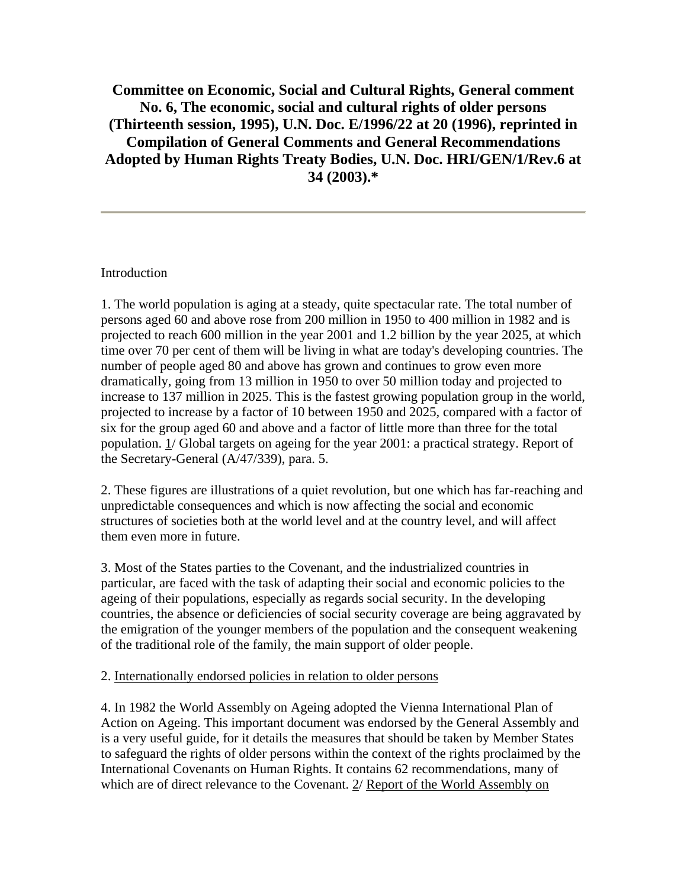**Committee on Economic, Social and Cultural Rights, General comment No. 6, The economic, social and cultural rights of older persons (Thirteenth session, 1995), U.N. Doc. E/1996/22 at 20 (1996), reprinted in Compilation of General Comments and General Recommendations Adopted by Human Rights Treaty Bodies, U.N. Doc. HRI/GEN/1/Rev.6 at 34 (2003).\*** 

#### Introduction

1. The world population is aging at a steady, quite spectacular rate. The total number of persons aged 60 and above rose from 200 million in 1950 to 400 million in 1982 and is projected to reach 600 million in the year 2001 and 1.2 billion by the year 2025, at which time over 70 per cent of them will be living in what are today's developing countries. The number of people aged 80 and above has grown and continues to grow even more dramatically, going from 13 million in 1950 to over 50 million today and projected to increase to 137 million in 2025. This is the fastest growing population group in the world, projected to increase by a factor of 10 between 1950 and 2025, compared with a factor of six for the group aged 60 and above and a factor of little more than three for the total population. 1/ Global targets on ageing for the year 2001: a practical strategy. Report of the Secretary-General (A/47/339), para. 5.

2. These figures are illustrations of a quiet revolution, but one which has far-reaching and unpredictable consequences and which is now affecting the social and economic structures of societies both at the world level and at the country level, and will affect them even more in future.

3. Most of the States parties to the Covenant, and the industrialized countries in particular, are faced with the task of adapting their social and economic policies to the ageing of their populations, especially as regards social security. In the developing countries, the absence or deficiencies of social security coverage are being aggravated by the emigration of the younger members of the population and the consequent weakening of the traditional role of the family, the main support of older people.

#### 2. Internationally endorsed policies in relation to older persons

4. In 1982 the World Assembly on Ageing adopted the Vienna International Plan of Action on Ageing. This important document was endorsed by the General Assembly and is a very useful guide, for it details the measures that should be taken by Member States to safeguard the rights of older persons within the context of the rights proclaimed by the International Covenants on Human Rights. It contains 62 recommendations, many of which are of direct relevance to the Covenant. 2/ Report of the World Assembly on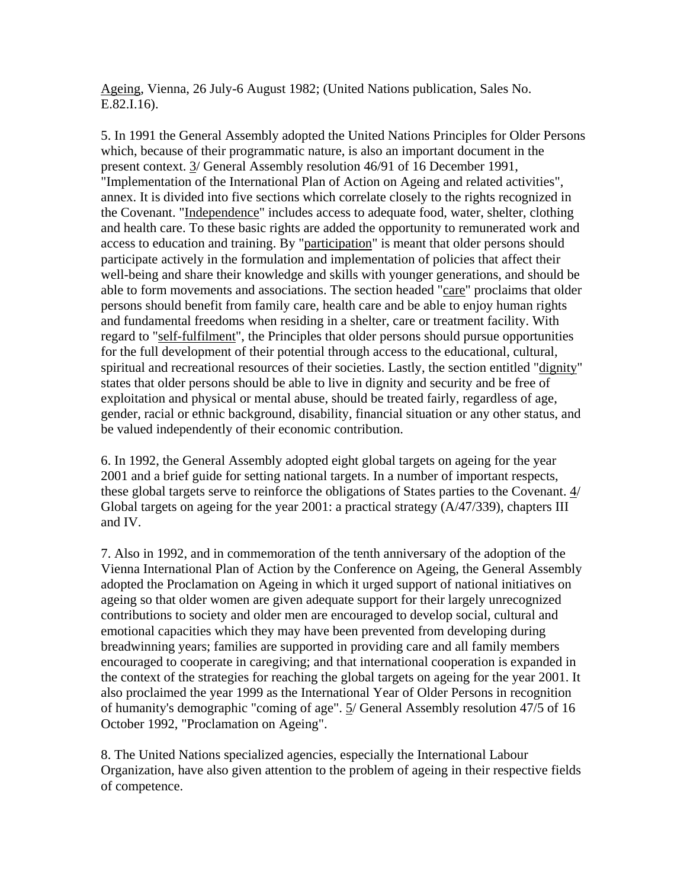Ageing, Vienna, 26 July-6 August 1982; (United Nations publication, Sales No. E.82.I.16).

5. In 1991 the General Assembly adopted the United Nations Principles for Older Persons which, because of their programmatic nature, is also an important document in the present context. 3/ General Assembly resolution 46/91 of 16 December 1991, "Implementation of the International Plan of Action on Ageing and related activities", annex. It is divided into five sections which correlate closely to the rights recognized in the Covenant. "Independence" includes access to adequate food, water, shelter, clothing and health care. To these basic rights are added the opportunity to remunerated work and access to education and training. By "participation" is meant that older persons should participate actively in the formulation and implementation of policies that affect their well-being and share their knowledge and skills with younger generations, and should be able to form movements and associations. The section headed "care" proclaims that older persons should benefit from family care, health care and be able to enjoy human rights and fundamental freedoms when residing in a shelter, care or treatment facility. With regard to "self-fulfilment", the Principles that older persons should pursue opportunities for the full development of their potential through access to the educational, cultural, spiritual and recreational resources of their societies. Lastly, the section entitled "dignity" states that older persons should be able to live in dignity and security and be free of exploitation and physical or mental abuse, should be treated fairly, regardless of age, gender, racial or ethnic background, disability, financial situation or any other status, and be valued independently of their economic contribution.

6. In 1992, the General Assembly adopted eight global targets on ageing for the year 2001 and a brief guide for setting national targets. In a number of important respects, these global targets serve to reinforce the obligations of States parties to the Covenant. 4/ Global targets on ageing for the year 2001: a practical strategy (A/47/339), chapters III and IV.

7. Also in 1992, and in commemoration of the tenth anniversary of the adoption of the Vienna International Plan of Action by the Conference on Ageing, the General Assembly adopted the Proclamation on Ageing in which it urged support of national initiatives on ageing so that older women are given adequate support for their largely unrecognized contributions to society and older men are encouraged to develop social, cultural and emotional capacities which they may have been prevented from developing during breadwinning years; families are supported in providing care and all family members encouraged to cooperate in caregiving; and that international cooperation is expanded in the context of the strategies for reaching the global targets on ageing for the year 2001. It also proclaimed the year 1999 as the International Year of Older Persons in recognition of humanity's demographic "coming of age". 5/ General Assembly resolution 47/5 of 16 October 1992, "Proclamation on Ageing".

8. The United Nations specialized agencies, especially the International Labour Organization, have also given attention to the problem of ageing in their respective fields of competence.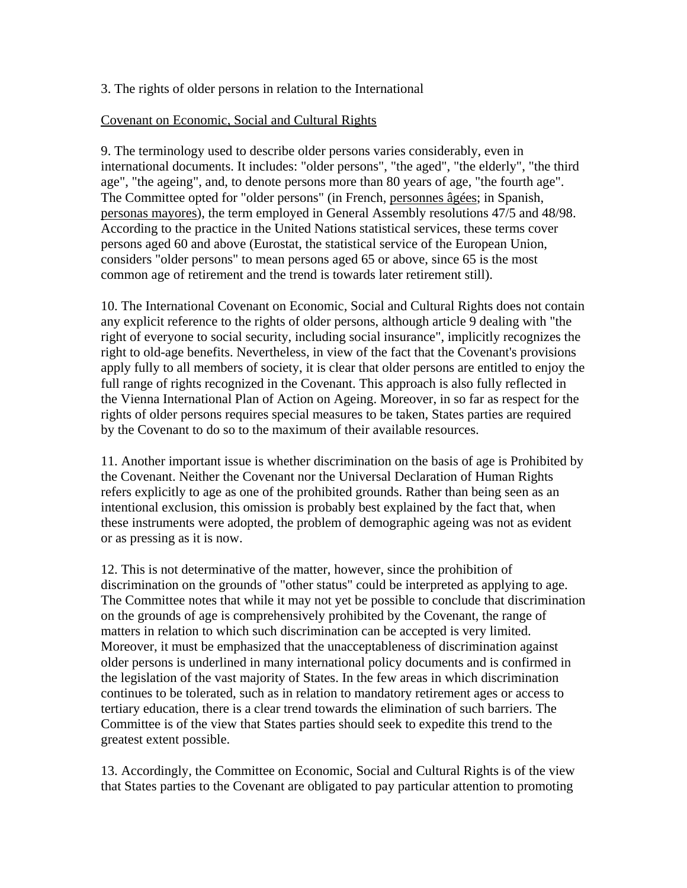## 3. The rights of older persons in relation to the International

## Covenant on Economic, Social and Cultural Rights

9. The terminology used to describe older persons varies considerably, even in international documents. It includes: "older persons", "the aged", "the elderly", "the third age", "the ageing", and, to denote persons more than 80 years of age, "the fourth age". The Committee opted for "older persons" (in French, personnes âgées; in Spanish, personas mayores), the term employed in General Assembly resolutions 47/5 and 48/98. According to the practice in the United Nations statistical services, these terms cover persons aged 60 and above (Eurostat, the statistical service of the European Union, considers "older persons" to mean persons aged 65 or above, since 65 is the most common age of retirement and the trend is towards later retirement still).

10. The International Covenant on Economic, Social and Cultural Rights does not contain any explicit reference to the rights of older persons, although article 9 dealing with "the right of everyone to social security, including social insurance", implicitly recognizes the right to old-age benefits. Nevertheless, in view of the fact that the Covenant's provisions apply fully to all members of society, it is clear that older persons are entitled to enjoy the full range of rights recognized in the Covenant. This approach is also fully reflected in the Vienna International Plan of Action on Ageing. Moreover, in so far as respect for the rights of older persons requires special measures to be taken, States parties are required by the Covenant to do so to the maximum of their available resources.

11. Another important issue is whether discrimination on the basis of age is Prohibited by the Covenant. Neither the Covenant nor the Universal Declaration of Human Rights refers explicitly to age as one of the prohibited grounds. Rather than being seen as an intentional exclusion, this omission is probably best explained by the fact that, when these instruments were adopted, the problem of demographic ageing was not as evident or as pressing as it is now.

12. This is not determinative of the matter, however, since the prohibition of discrimination on the grounds of "other status" could be interpreted as applying to age. The Committee notes that while it may not yet be possible to conclude that discrimination on the grounds of age is comprehensively prohibited by the Covenant, the range of matters in relation to which such discrimination can be accepted is very limited. Moreover, it must be emphasized that the unacceptableness of discrimination against older persons is underlined in many international policy documents and is confirmed in the legislation of the vast majority of States. In the few areas in which discrimination continues to be tolerated, such as in relation to mandatory retirement ages or access to tertiary education, there is a clear trend towards the elimination of such barriers. The Committee is of the view that States parties should seek to expedite this trend to the greatest extent possible.

13. Accordingly, the Committee on Economic, Social and Cultural Rights is of the view that States parties to the Covenant are obligated to pay particular attention to promoting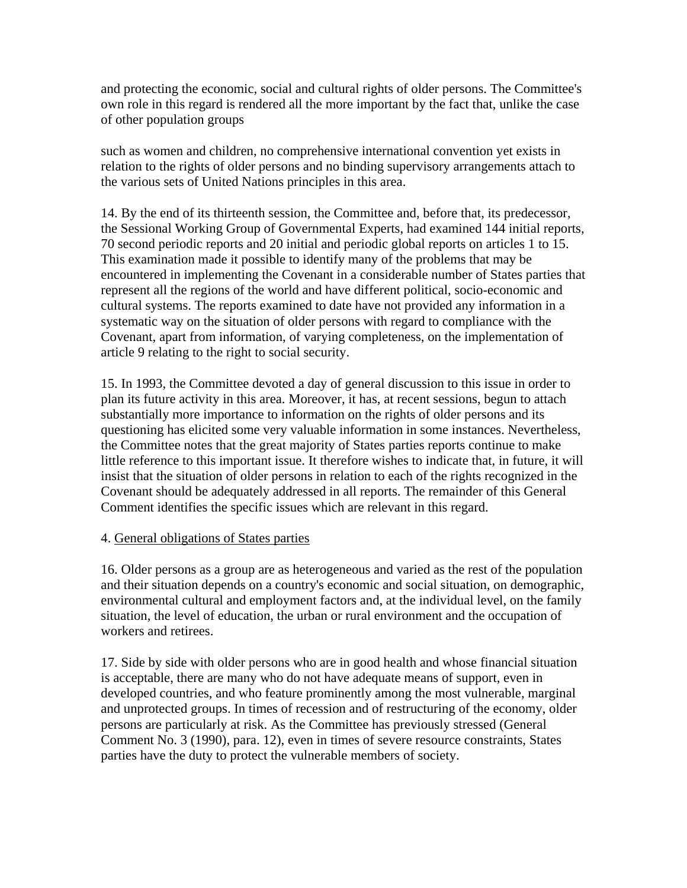and protecting the economic, social and cultural rights of older persons. The Committee's own role in this regard is rendered all the more important by the fact that, unlike the case of other population groups

such as women and children, no comprehensive international convention yet exists in relation to the rights of older persons and no binding supervisory arrangements attach to the various sets of United Nations principles in this area.

14. By the end of its thirteenth session, the Committee and, before that, its predecessor, the Sessional Working Group of Governmental Experts, had examined 144 initial reports, 70 second periodic reports and 20 initial and periodic global reports on articles 1 to 15. This examination made it possible to identify many of the problems that may be encountered in implementing the Covenant in a considerable number of States parties that represent all the regions of the world and have different political, socio-economic and cultural systems. The reports examined to date have not provided any information in a systematic way on the situation of older persons with regard to compliance with the Covenant, apart from information, of varying completeness, on the implementation of article 9 relating to the right to social security.

15. In 1993, the Committee devoted a day of general discussion to this issue in order to plan its future activity in this area. Moreover, it has, at recent sessions, begun to attach substantially more importance to information on the rights of older persons and its questioning has elicited some very valuable information in some instances. Nevertheless, the Committee notes that the great majority of States parties reports continue to make little reference to this important issue. It therefore wishes to indicate that, in future, it will insist that the situation of older persons in relation to each of the rights recognized in the Covenant should be adequately addressed in all reports. The remainder of this General Comment identifies the specific issues which are relevant in this regard.

#### 4. General obligations of States parties

16. Older persons as a group are as heterogeneous and varied as the rest of the population and their situation depends on a country's economic and social situation, on demographic, environmental cultural and employment factors and, at the individual level, on the family situation, the level of education, the urban or rural environment and the occupation of workers and retirees.

17. Side by side with older persons who are in good health and whose financial situation is acceptable, there are many who do not have adequate means of support, even in developed countries, and who feature prominently among the most vulnerable, marginal and unprotected groups. In times of recession and of restructuring of the economy, older persons are particularly at risk. As the Committee has previously stressed (General Comment No. 3 (1990), para. 12), even in times of severe resource constraints, States parties have the duty to protect the vulnerable members of society.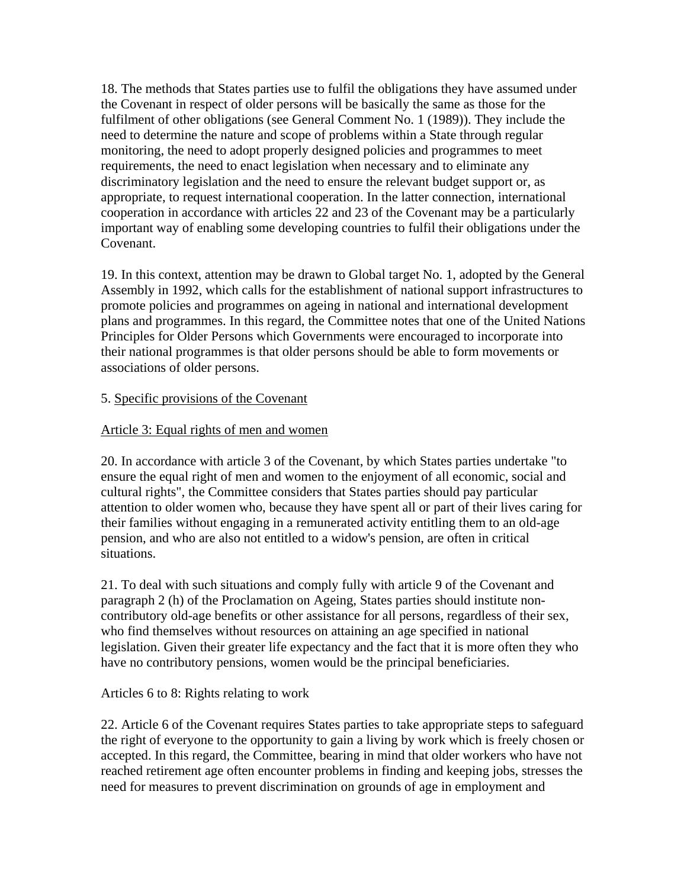18. The methods that States parties use to fulfil the obligations they have assumed under the Covenant in respect of older persons will be basically the same as those for the fulfilment of other obligations (see General Comment No. 1 (1989)). They include the need to determine the nature and scope of problems within a State through regular monitoring, the need to adopt properly designed policies and programmes to meet requirements, the need to enact legislation when necessary and to eliminate any discriminatory legislation and the need to ensure the relevant budget support or, as appropriate, to request international cooperation. In the latter connection, international cooperation in accordance with articles 22 and 23 of the Covenant may be a particularly important way of enabling some developing countries to fulfil their obligations under the Covenant.

19. In this context, attention may be drawn to Global target No. 1, adopted by the General Assembly in 1992, which calls for the establishment of national support infrastructures to promote policies and programmes on ageing in national and international development plans and programmes. In this regard, the Committee notes that one of the United Nations Principles for Older Persons which Governments were encouraged to incorporate into their national programmes is that older persons should be able to form movements or associations of older persons.

## 5. Specific provisions of the Covenant

## Article 3: Equal rights of men and women

20. In accordance with article 3 of the Covenant, by which States parties undertake "to ensure the equal right of men and women to the enjoyment of all economic, social and cultural rights", the Committee considers that States parties should pay particular attention to older women who, because they have spent all or part of their lives caring for their families without engaging in a remunerated activity entitling them to an old-age pension, and who are also not entitled to a widow's pension, are often in critical situations.

21. To deal with such situations and comply fully with article 9 of the Covenant and paragraph 2 (h) of the Proclamation on Ageing, States parties should institute noncontributory old-age benefits or other assistance for all persons, regardless of their sex, who find themselves without resources on attaining an age specified in national legislation. Given their greater life expectancy and the fact that it is more often they who have no contributory pensions, women would be the principal beneficiaries.

# Articles 6 to 8: Rights relating to work

22. Article 6 of the Covenant requires States parties to take appropriate steps to safeguard the right of everyone to the opportunity to gain a living by work which is freely chosen or accepted. In this regard, the Committee, bearing in mind that older workers who have not reached retirement age often encounter problems in finding and keeping jobs, stresses the need for measures to prevent discrimination on grounds of age in employment and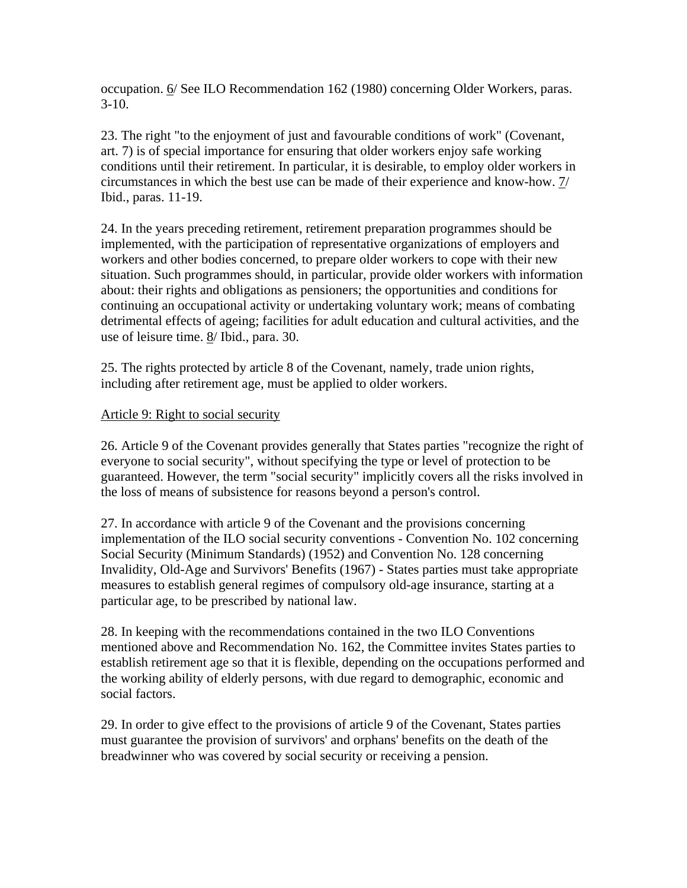occupation. 6/ See ILO Recommendation 162 (1980) concerning Older Workers, paras.  $3-10.$ 

23. The right "to the enjoyment of just and favourable conditions of work" (Covenant, art. 7) is of special importance for ensuring that older workers enjoy safe working conditions until their retirement. In particular, it is desirable, to employ older workers in circumstances in which the best use can be made of their experience and know-how.  $\frac{7}{10}$ Ibid., paras. 11-19.

24. In the years preceding retirement, retirement preparation programmes should be implemented, with the participation of representative organizations of employers and workers and other bodies concerned, to prepare older workers to cope with their new situation. Such programmes should, in particular, provide older workers with information about: their rights and obligations as pensioners; the opportunities and conditions for continuing an occupational activity or undertaking voluntary work; means of combating detrimental effects of ageing; facilities for adult education and cultural activities, and the use of leisure time. 8/ Ibid., para. 30.

25. The rights protected by article 8 of the Covenant, namely, trade union rights, including after retirement age, must be applied to older workers.

## Article 9: Right to social security

26. Article 9 of the Covenant provides generally that States parties "recognize the right of everyone to social security", without specifying the type or level of protection to be guaranteed. However, the term "social security" implicitly covers all the risks involved in the loss of means of subsistence for reasons beyond a person's control.

27. In accordance with article 9 of the Covenant and the provisions concerning implementation of the ILO social security conventions - Convention No. 102 concerning Social Security (Minimum Standards) (1952) and Convention No. 128 concerning Invalidity, Old-Age and Survivors' Benefits (1967) - States parties must take appropriate measures to establish general regimes of compulsory old-age insurance, starting at a particular age, to be prescribed by national law.

28. In keeping with the recommendations contained in the two ILO Conventions mentioned above and Recommendation No. 162, the Committee invites States parties to establish retirement age so that it is flexible, depending on the occupations performed and the working ability of elderly persons, with due regard to demographic, economic and social factors.

29. In order to give effect to the provisions of article 9 of the Covenant, States parties must guarantee the provision of survivors' and orphans' benefits on the death of the breadwinner who was covered by social security or receiving a pension.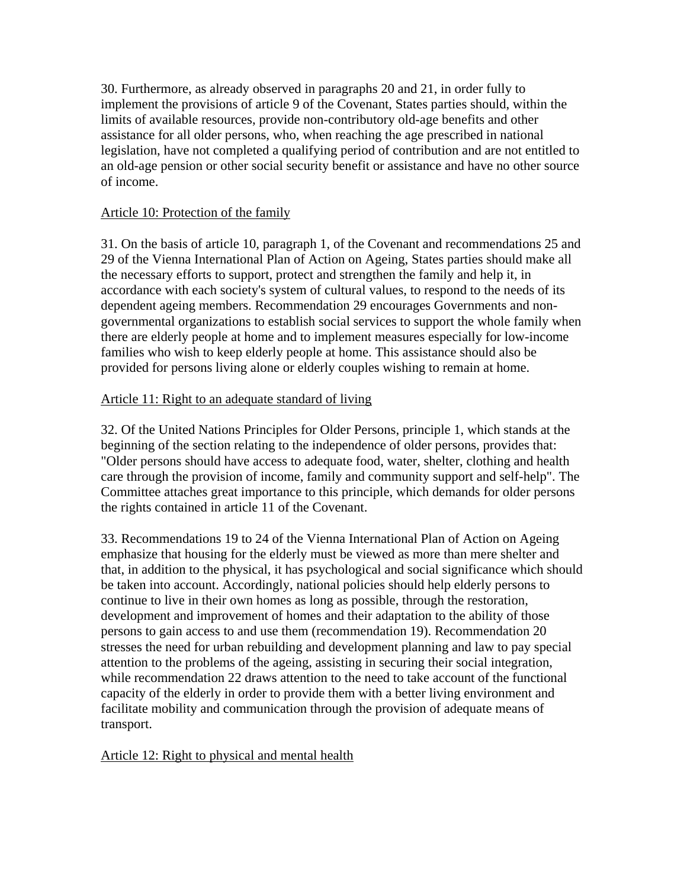30. Furthermore, as already observed in paragraphs 20 and 21, in order fully to implement the provisions of article 9 of the Covenant, States parties should, within the limits of available resources, provide non-contributory old-age benefits and other assistance for all older persons, who, when reaching the age prescribed in national legislation, have not completed a qualifying period of contribution and are not entitled to an old-age pension or other social security benefit or assistance and have no other source of income.

# Article 10: Protection of the family

31. On the basis of article 10, paragraph 1, of the Covenant and recommendations 25 and 29 of the Vienna International Plan of Action on Ageing, States parties should make all the necessary efforts to support, protect and strengthen the family and help it, in accordance with each society's system of cultural values, to respond to the needs of its dependent ageing members. Recommendation 29 encourages Governments and nongovernmental organizations to establish social services to support the whole family when there are elderly people at home and to implement measures especially for low-income families who wish to keep elderly people at home. This assistance should also be provided for persons living alone or elderly couples wishing to remain at home.

## Article 11: Right to an adequate standard of living

32. Of the United Nations Principles for Older Persons, principle 1, which stands at the beginning of the section relating to the independence of older persons, provides that: "Older persons should have access to adequate food, water, shelter, clothing and health care through the provision of income, family and community support and self-help". The Committee attaches great importance to this principle, which demands for older persons the rights contained in article 11 of the Covenant.

33. Recommendations 19 to 24 of the Vienna International Plan of Action on Ageing emphasize that housing for the elderly must be viewed as more than mere shelter and that, in addition to the physical, it has psychological and social significance which should be taken into account. Accordingly, national policies should help elderly persons to continue to live in their own homes as long as possible, through the restoration, development and improvement of homes and their adaptation to the ability of those persons to gain access to and use them (recommendation 19). Recommendation 20 stresses the need for urban rebuilding and development planning and law to pay special attention to the problems of the ageing, assisting in securing their social integration, while recommendation 22 draws attention to the need to take account of the functional capacity of the elderly in order to provide them with a better living environment and facilitate mobility and communication through the provision of adequate means of transport.

# Article 12: Right to physical and mental health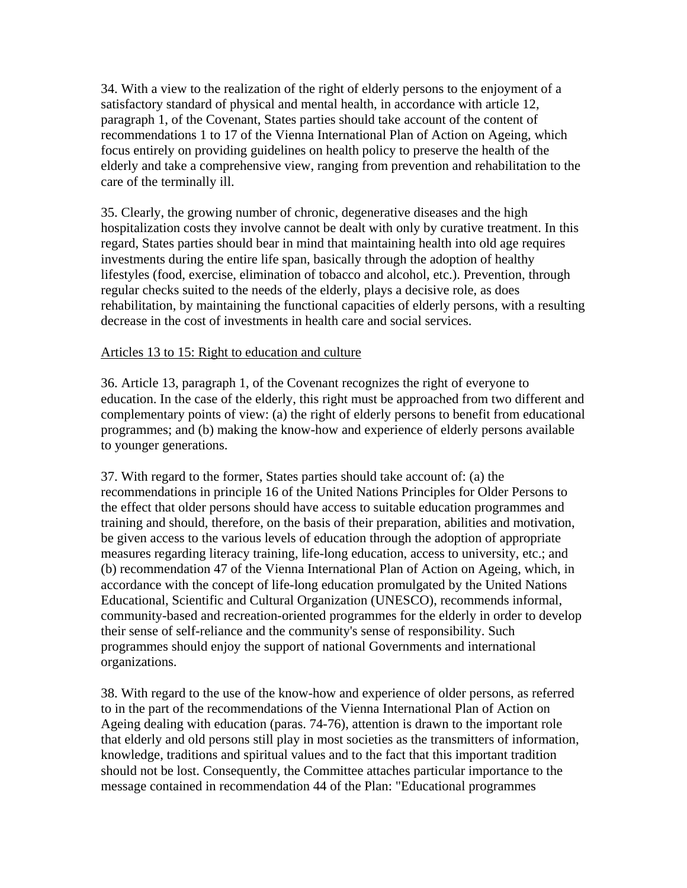34. With a view to the realization of the right of elderly persons to the enjoyment of a satisfactory standard of physical and mental health, in accordance with article 12, paragraph 1, of the Covenant, States parties should take account of the content of recommendations 1 to 17 of the Vienna International Plan of Action on Ageing, which focus entirely on providing guidelines on health policy to preserve the health of the elderly and take a comprehensive view, ranging from prevention and rehabilitation to the care of the terminally ill.

35. Clearly, the growing number of chronic, degenerative diseases and the high hospitalization costs they involve cannot be dealt with only by curative treatment. In this regard, States parties should bear in mind that maintaining health into old age requires investments during the entire life span, basically through the adoption of healthy lifestyles (food, exercise, elimination of tobacco and alcohol, etc.). Prevention, through regular checks suited to the needs of the elderly, plays a decisive role, as does rehabilitation, by maintaining the functional capacities of elderly persons, with a resulting decrease in the cost of investments in health care and social services.

## Articles 13 to 15: Right to education and culture

36. Article 13, paragraph 1, of the Covenant recognizes the right of everyone to education. In the case of the elderly, this right must be approached from two different and complementary points of view: (a) the right of elderly persons to benefit from educational programmes; and (b) making the know-how and experience of elderly persons available to younger generations.

37. With regard to the former, States parties should take account of: (a) the recommendations in principle 16 of the United Nations Principles for Older Persons to the effect that older persons should have access to suitable education programmes and training and should, therefore, on the basis of their preparation, abilities and motivation, be given access to the various levels of education through the adoption of appropriate measures regarding literacy training, life-long education, access to university, etc.; and (b) recommendation 47 of the Vienna International Plan of Action on Ageing, which, in accordance with the concept of life-long education promulgated by the United Nations Educational, Scientific and Cultural Organization (UNESCO), recommends informal, community-based and recreation-oriented programmes for the elderly in order to develop their sense of self-reliance and the community's sense of responsibility. Such programmes should enjoy the support of national Governments and international organizations.

38. With regard to the use of the know-how and experience of older persons, as referred to in the part of the recommendations of the Vienna International Plan of Action on Ageing dealing with education (paras. 74-76), attention is drawn to the important role that elderly and old persons still play in most societies as the transmitters of information, knowledge, traditions and spiritual values and to the fact that this important tradition should not be lost. Consequently, the Committee attaches particular importance to the message contained in recommendation 44 of the Plan: "Educational programmes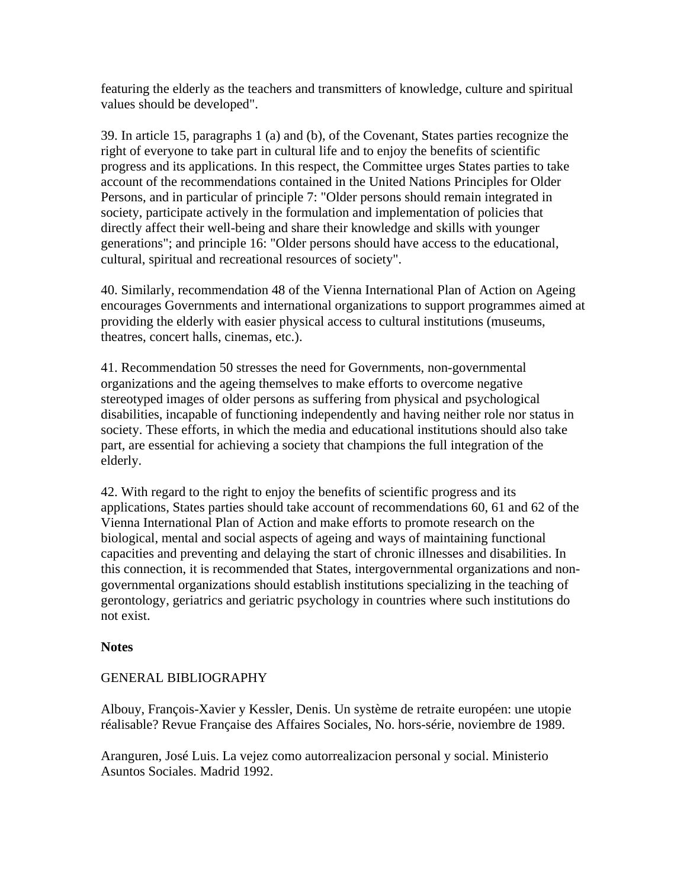featuring the elderly as the teachers and transmitters of knowledge, culture and spiritual values should be developed".

39. In article 15, paragraphs 1 (a) and (b), of the Covenant, States parties recognize the right of everyone to take part in cultural life and to enjoy the benefits of scientific progress and its applications. In this respect, the Committee urges States parties to take account of the recommendations contained in the United Nations Principles for Older Persons, and in particular of principle 7: "Older persons should remain integrated in society, participate actively in the formulation and implementation of policies that directly affect their well-being and share their knowledge and skills with younger generations"; and principle 16: "Older persons should have access to the educational, cultural, spiritual and recreational resources of society".

40. Similarly, recommendation 48 of the Vienna International Plan of Action on Ageing encourages Governments and international organizations to support programmes aimed at providing the elderly with easier physical access to cultural institutions (museums, theatres, concert halls, cinemas, etc.).

41. Recommendation 50 stresses the need for Governments, non-governmental organizations and the ageing themselves to make efforts to overcome negative stereotyped images of older persons as suffering from physical and psychological disabilities, incapable of functioning independently and having neither role nor status in society. These efforts, in which the media and educational institutions should also take part, are essential for achieving a society that champions the full integration of the elderly.

42. With regard to the right to enjoy the benefits of scientific progress and its applications, States parties should take account of recommendations 60, 61 and 62 of the Vienna International Plan of Action and make efforts to promote research on the biological, mental and social aspects of ageing and ways of maintaining functional capacities and preventing and delaying the start of chronic illnesses and disabilities. In this connection, it is recommended that States, intergovernmental organizations and nongovernmental organizations should establish institutions specializing in the teaching of gerontology, geriatrics and geriatric psychology in countries where such institutions do not exist.

#### **Notes**

# GENERAL BIBLIOGRAPHY

Albouy, François-Xavier y Kessler, Denis. Un système de retraite européen: une utopie réalisable? Revue Française des Affaires Sociales, No. hors-série, noviembre de 1989.

Aranguren, José Luis. La vejez como autorrealizacion personal y social. Ministerio Asuntos Sociales. Madrid 1992.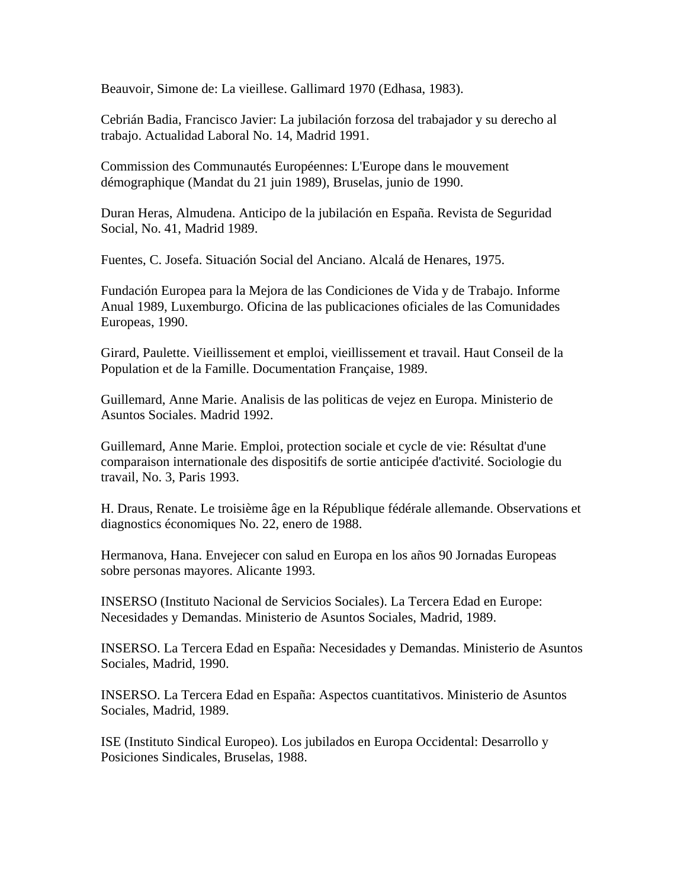Beauvoir, Simone de: La vieillese. Gallimard 1970 (Edhasa, 1983).

Cebrián Badia, Francisco Javier: La jubilación forzosa del trabajador y su derecho al trabajo. Actualidad Laboral No. 14, Madrid 1991.

Commission des Communautés Européennes: L'Europe dans le mouvement démographique (Mandat du 21 juin 1989), Bruselas, junio de 1990.

Duran Heras, Almudena. Anticipo de la jubilación en España. Revista de Seguridad Social, No. 41, Madrid 1989.

Fuentes, C. Josefa. Situación Social del Anciano. Alcalá de Henares, 1975.

Fundación Europea para la Mejora de las Condiciones de Vida y de Trabajo. Informe Anual 1989, Luxemburgo. Oficina de las publicaciones oficiales de las Comunidades Europeas, 1990.

Girard, Paulette. Vieillissement et emploi, vieillissement et travail. Haut Conseil de la Population et de la Famille. Documentation Française, 1989.

Guillemard, Anne Marie. Analisis de las politicas de vejez en Europa. Ministerio de Asuntos Sociales. Madrid 1992.

Guillemard, Anne Marie. Emploi, protection sociale et cycle de vie: Résultat d'une comparaison internationale des dispositifs de sortie anticipée d'activité. Sociologie du travail, No. 3, Paris 1993.

H. Draus, Renate. Le troisième âge en la République fédérale allemande. Observations et diagnostics économiques No. 22, enero de 1988.

Hermanova, Hana. Envejecer con salud en Europa en los años 90 Jornadas Europeas sobre personas mayores. Alicante 1993.

INSERSO (Instituto Nacional de Servicios Sociales). La Tercera Edad en Europe: Necesidades y Demandas. Ministerio de Asuntos Sociales, Madrid, 1989.

INSERSO. La Tercera Edad en España: Necesidades y Demandas. Ministerio de Asuntos Sociales, Madrid, 1990.

INSERSO. La Tercera Edad en España: Aspectos cuantitativos. Ministerio de Asuntos Sociales, Madrid, 1989.

ISE (Instituto Sindical Europeo). Los jubilados en Europa Occidental: Desarrollo y Posiciones Sindicales, Bruselas, 1988.